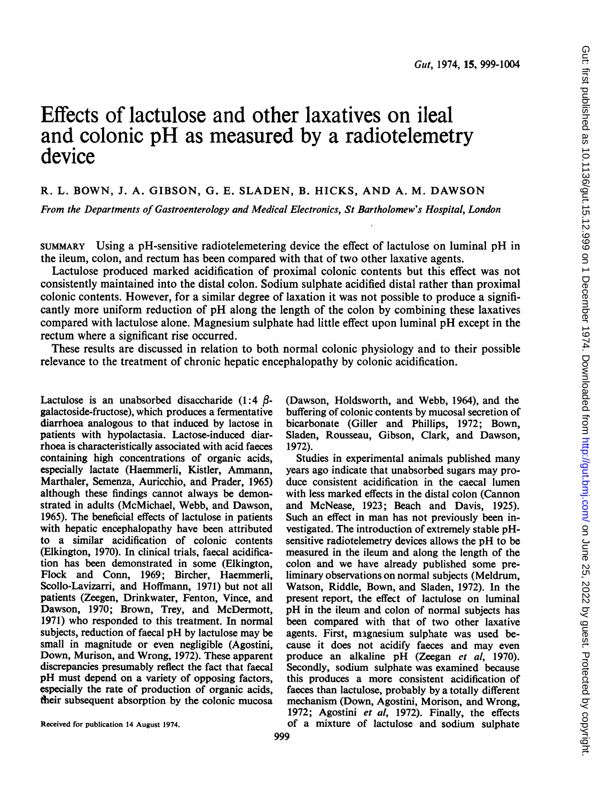# Effects of lactulose and other laxatives on ileal and colonic pH as measured by <sup>a</sup> radiotelemetry device

## R. L. BOWN, J. A. GIBSON, G. E. SLADEN, B. HICKS, AND A. M. DAWSON

From the Departments of Gastroenterology and Medical Electronics, St Bartholomew's Hospital, London

SUMMARY Using <sup>a</sup> pH-sensitive radiotelemetering device the effect of lactulose on luminal pH in the ileum, colon, and rectum has been compared with that of two other laxative agents.

Lactulose produced marked acidification of proximal colonic contents but this effect was not consistently maintained into the distal colon. Sodium sulphate acidified distal rather than proximal colonic contents. However, for a similar degree of laxation it was not possible to produce a significantly more uniform reduction of pH along the length of the colon by combining these laxatives compared with lactulose alone. Magnesium sulphate had little effect upon luminal pH except in the rectum where a significant rise occurred.

These results are discussed in relation to both normal colonic physiology and to their possible relevance to the treatment of chronic hepatic encephalopathy by colonic acidification.

Lactulose is an unabsorbed disaccharide  $(1:4 \beta$ galactoside-fructose), which produces a fermentative diarrhoea analogous to that induced by lactose in patients with hypolactasia. Lactose-induced diarrhoea is characteristically associated with acid faeces containing high concentrations of organic acids, especially lactate (Haemmerli, Kistler, Ammann, Marthaler, Semenza, Auricchio, and Prader, 1965) although these findings cannot always be demonstrated in adults (McMichael, Webb, and Dawson, 1965). The beneficial effects of lactulose in patients with hepatic encephalopathy have been attributed to a similar acidification of colonic contents (Elkington, 1970). In clinical trials, faecal acidification has been demonstrated in some (Elkington, Flock and Conn, 1969; Bircher, Haemmerli, Scollo-Lavizarri, and Hoffmann, 1971) but not all patients (Zeegen, Drinkwater, Fenton, Vince, and Dawson, 1970; Brown, Trey, and McDermott, 1971) who responded to this treatment. In normal subjects, reduction of faecal pH by lactulose may be small in magnitude or even negligible (Agostini, Down, Murison, and Wrong, 1972). These apparent discrepancies presumably reflect the fact that faecal pH must depend on a variety of opposing factors, especially the rate of production of organic acids, their subsequent absorption by the colonic mucosa (Dawson, Holdsworth, and Webb, 1964), and the buffering of colonic contents by mucosal secretion of bicarbonate (Giller and Phillips, 1972; Bown, Sladen, Rousseau, Gibson, Clark, and Dawson, 1972).

Studies in experimental animals published many years ago indicate that unabsorbed sugars may produce consistent acidification in the caecal lumen with less marked effects in the distal colon (Cannon and McNease, 1923; Beach and Davis, 1925). Such an effect in man has not previously been investigated. The introduction of extremely stable pHsensitive radiotelemetry devices allows the pH to be measured in the ileum and along the length of the colon and we have already published some preliminary observations on normal subjects (Meldrum, Watson, Riddle, Bown, and Sladen, 1972). In the present report, the effect of lactulose on luminal pH in the ileum and colon of normal subjects has been compared with that of two other laxative agents. First, magnesium sulphate was used because it does not acidify faeces and may even produce an alkaline pH (Zeegan et al, 1970). Secondly, sodium sulphate was examined because this produces a more consistent acidification of faeces than lactulose, probably by a totally different mechanism (Down, Agostini, Morison, and Wrong, 1972; Agostini et al, 1972). Finally, the effects of a mixture of lactulose and sodium sulphate

Received for publication 14 August 1974.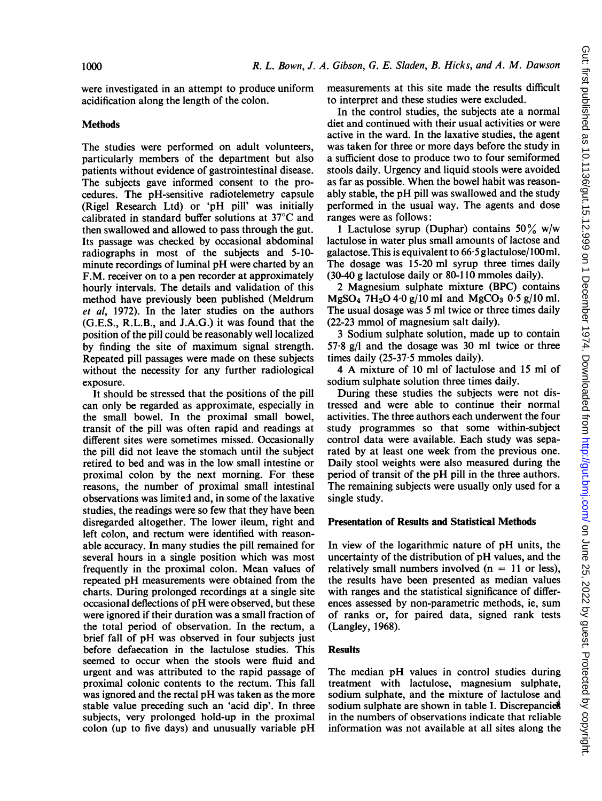were investigated in an attempt to produce uniform acidification along the length of the colon.

### Methods

The studies were performed on adult volunteers, particularly members of the department but also patients without evidence of gastrointestinal disease. The subjects gave informed consent to the procedures. The pH-sensitive radiotelemetry capsule (Rigel Research Ltd) or 'pH pill' was initially calibrated in standard buffer solutions at 37°C and then swallowed and allowed to pass through the gut. Its passage was checked by occasional abdominal radiographs in most of the subjects and 5-10 minute recordings of luminal pH were charted by an F.M. receiver on to a pen recorder at approximately hourly intervals. The details and validation of this method have previously been published (Meldrum et al, 1972). In the later studies on the authors (G.E.S., R.L.B., and J.A.G.) it was found that the position of the pill could be reasonably well localized by finding the site of maximum signal strength. Repeated pill passages were made on these subjects without the necessity for any further radiological exposure.

It should be stressed that the positions of the pill can only be regarded as approximate, especially in the small bowel. In the proximal small bowel, transit of the pill was often rapid and readings at different sites were sometimes missed. Occasionally the pill did not leave the stomach until the subject retired to bed and was in the low small intestine or proximal colon by the next morning. For these reasons, the number of proximal small intestinal observations was limited and, in some of the laxative studies, the readings were so few that they have been disregarded altogether. The lower ileum, right and left colon, and rectum were identified with reasonable accuracy. In many studies the pill remained for several hours in a single position which was most frequently in the proximal colon. Mean values of repeated pH measurements were obtained from the charts. During prolonged recordings at a single site occasional deflections of pH were observed, but these were ignored if their duration was a small fraction of the total period of observation. In the rectum, a brief fall of pH was observed in four subjects just before defaecation in the lactulose studies. This seemed to occur when the stools were fluid and urgent and was attributed to the rapid passage of proximal colonic contents to the rectum. This fall was ignored and the rectal pH was taken as the more stable value preceding such an 'acid dip'. In three subjects, very prolonged hold-up in the proximal colon (up to five days) and unusually variable pH

measurements at this site made the results difficult to interpret and these studies were excluded.

In the control studies, the subjects ate a normal diet and continued with their usual activities or were active in the ward. In the laxative studies, the agent was taken for three or more days before the study in a sufficient dose to produce two to four semiformed stools daily. Urgency and liquid stools were avoided as far as possible. When the bowel habit was reasonably stable, the pH pill was swallowed and the study performed in the usual way. The agents and dose ranges were as follows:

1 Lactulose syrup (Duphar) contains  $50\%$  w/w lactulose in water plus small amounts of lactose and galactose. This is equivalent to  $66.5$  glactulose/100 ml. The dosage was 15-20 ml syrup three times daily (30-40 g lactulose daily or 80-110 mmoles daily).

2 Magnesium sulphate mixture (BPC) contains  $MgSO_4$  7H<sub>2</sub>O 4.0 g/10 ml and MgCO<sub>3</sub> 0.5 g/10 ml. The usual dosage was 5 ml twice or three times daily (22-23 mmol of magnesium salt daily).

<sup>3</sup> Sodium sulphate solution, made up to contain 57-8 g/l and the dosage was 30 ml twice or three times daily (25-37-5 mmoles daily).

<sup>4</sup> A mixture of <sup>10</sup> ml of lactulose and <sup>15</sup> ml of sodium sulphate solution three times daily.

During these studies the subjects were not distressed and were able to continue their normal activities. The three authors each underwent the four study programmes so that some within-subject control data were available. Each study was separated by at least one week from the previous one. Daily stool weights were also measured during the period of transit of the pH pill in the three authors. The remaining subjects were usually only used for a single study.

#### Presentation of Results and Statistical Methods

In view of the logarithmic nature of pH units, the uncertainty of the distribution of pH values, and the relatively small numbers involved  $(n = 11$  or less), the results have been presented as median values with ranges and the statistical significance of differences assessed by non-parametric methods, ie, sum of ranks or, for paired data, signed rank tests (Langley, 1968).

#### Results

The median pH values in control studies during treatment with lactulose, magnesium sulphate, sodium sulphate, and the mixture of lactulose and sodium sulphate are shown in table I. Discrepancies in the numbers of observations indicate that reliable information was not available at all sites along the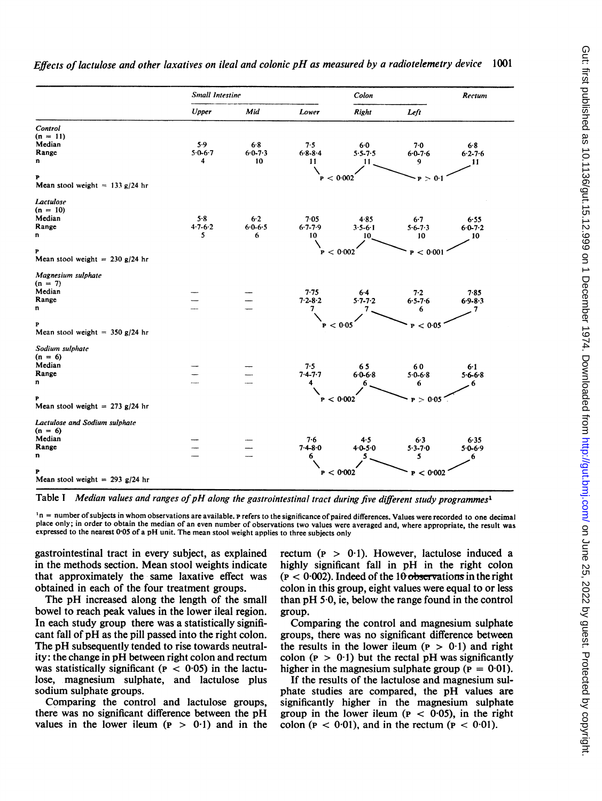|                                      | Small Intestine |                 |                 | Colon           |                 | Rectum          |  |
|--------------------------------------|-----------------|-----------------|-----------------|-----------------|-----------------|-----------------|--|
|                                      | Upper           | Mid             | Lower           | Right           | Left            |                 |  |
| Control                              |                 |                 |                 |                 |                 |                 |  |
| $(n = 11)$                           |                 |                 |                 |                 |                 |                 |  |
| Median                               | 5.9             | 6.8             | 7.5             | 6.0             | 7.0             | 6.8             |  |
| Range                                | $5.0 - 6.7$     | $6 - 0 - 7 - 3$ | $6 - 8 - 8 - 4$ | $5.5 - 7.5$     | $6 - 0 - 7 - 6$ | $6.2 - 7.6$     |  |
| n                                    | 4               | 10              | 11              | 11              | 9               | 11              |  |
|                                      |                 |                 |                 |                 |                 |                 |  |
| P                                    |                 |                 | P < 0.002       |                 | P > 0.1         |                 |  |
| Mean stool weight = $133$ g/24 hr    |                 |                 |                 |                 |                 |                 |  |
| Lactulose                            |                 |                 |                 |                 |                 |                 |  |
| $(n = 10)$                           |                 |                 |                 |                 |                 |                 |  |
| Median                               | 5.8             | $6-2$           | 7.05            | 4.85            | 6.7             | 6.55            |  |
| Range                                | $4.7 - 6.2$     | $6 - 6 - 5$     | $6 - 7 - 7 - 9$ | $3.5 - 6.1$     | $5.6 - 7.3$     | $6.0 - 7.2$     |  |
| U                                    | 5               | 6               | 10              | 10              | 10              | 10              |  |
|                                      |                 |                 |                 |                 |                 |                 |  |
| P                                    |                 |                 |                 | P < 0.002       | P < 0.001       |                 |  |
| Mean stool weight = $230$ g/24 hr    |                 |                 |                 |                 |                 |                 |  |
| Magnesium sulphate                   |                 |                 |                 |                 |                 |                 |  |
| $(n = 7)$                            |                 |                 |                 |                 |                 |                 |  |
| Median                               |                 |                 | 7.75            | 6.4             | 7.2             | 7.85            |  |
| Range                                |                 |                 | $7.2 - 8.2$     | $5 - 7 - 7 - 2$ | $6.5 - 7.6$     | $6.9 - 8.3$     |  |
| n                                    |                 |                 | 7               | 7               | 6               | 7               |  |
|                                      |                 |                 |                 |                 |                 |                 |  |
| Þ                                    |                 |                 |                 | P < 0.05        | < 0.05<br>P     |                 |  |
| Mean stool weight = $350$ g/24 hr    |                 |                 |                 |                 |                 |                 |  |
| Sodium sulphate                      |                 |                 |                 |                 |                 |                 |  |
| $(n = 6)$                            |                 |                 |                 |                 |                 |                 |  |
| Median                               |                 |                 | 7.5             | 65              | 60              | 6.1             |  |
| Range                                |                 |                 | $7.4 - 7.7$     | $6 - 6 - 8$     | $50-68$         | $5 - 6 - 6 - 8$ |  |
| n                                    |                 |                 | 4               | 6               | 6               | 6               |  |
|                                      |                 |                 |                 |                 |                 |                 |  |
| P                                    |                 |                 |                 | P < 0.002       | > 0.05          |                 |  |
| Mean stool weight = 273 $g/24$ hr    |                 |                 |                 |                 |                 |                 |  |
| <b>Lactulose and Sodium sulphate</b> |                 |                 |                 |                 |                 |                 |  |
| $(n = 6)$                            |                 |                 |                 |                 |                 |                 |  |
| Median                               |                 |                 | 7.6             | 4.5             | 6.3             | 6.35            |  |
| Range                                |                 |                 | $7.4 - 8.0$     | $4.0 - 5.0$     | $5.3 - 7.0$     | $5.0 - 6.9$     |  |
| n                                    |                 |                 | 6               | 5               | 5               | 6               |  |

Effects of lactulose and other laxatives on ileal and colonic pH as measured by <sup>a</sup> radiotelemetry device <sup>1001</sup>

Table I Median values and ranges of pH along the gastrointestinal tract during five different study programmes<sup>1</sup>

**P**  $P < 0.002$  **p**  $P < 0.002$  **p**  $P < 0.002$ 

<sup>1</sup>n = number of subjects in whom observations are available. P refers to the significance of paired differences. Values were recorded to one decimal place only; in order to obtain the median of an even number of observations two values were averaged and, where appropriate, the result was expressed to the nearest 0.05 of a pH unit. The mean stool weight applies to three subjects only

gastrointestinal tract in every subject, as explained in the methods section. Mean stool weights indicate that approximately the same laxative effect was obtained in each of the four treatment groups.

Mean stool weight = 293 g/24 hr

The pH increased along the length of the small bowel to reach peak values in the lower ileal region. In each study group there was a statistically significant fall of pH as the pill passed into the right colon. The pH subsequently tended to rise towards neutrality: the change in pH between right colon and rectum was statistically significant ( $P < 0.05$ ) in the lactulose, magnesium sulphate, and lactulose plus sodium sulphate groups.

Comparing the control and lactulose groups, there was no significant difference between the pH values in the lower ileum  $(p > 0.1)$  and in the

rectum ( $p > 0.1$ ). However, lactulose induced a highly significant fall in pH in the right colon  $(p < 0.002)$ . Indeed of the 10 observations in the right colon in this group, eight values were equal to or less than pH 5-0, ie, below the range found in the control group.

Comparing the control and magnesium sulphate groups, there was no significant difference between the results in the lower ileum ( $p > 0.1$ ) and right colon ( $p > 0.1$ ) but the rectal pH was significantly higher in the magnesium sulphate group ( $p = 0.01$ ).

If the results of the lactulose and magnesium sulphate studies are compared, the pH values are significantly higher in the magnesium sulphate group in the lower ileum ( $P < 0.05$ ), in the right colon ( $P < 0.01$ ), and in the rectum ( $P < 0.01$ ).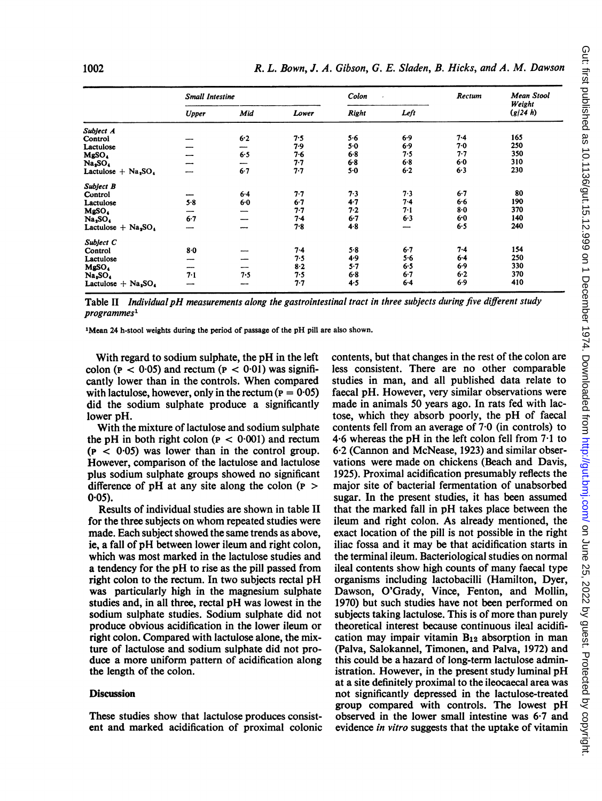|                                               | <b>Small Intestine</b> |     |         | Colon        |         | Rectum  | <b>Mean Stool</b>  |
|-----------------------------------------------|------------------------|-----|---------|--------------|---------|---------|--------------------|
|                                               | <b>Upper</b>           | Mid | Lower   | <b>Right</b> | Left    |         | Weight<br>(g/24 h) |
| Subject A                                     |                        |     |         |              |         |         |                    |
| Control                                       |                        | 6.2 | 7.5     | 5.6          | 6.9     | 7.4     | 165                |
| Lactulose                                     |                        |     | 7.9     | $5 - 0$      | 6.9     | 7.0     | 250                |
| MgSO4                                         |                        | 6.5 | 7.6     | $6 - 8$      | 7.5     | $7 - 7$ | 350                |
| Na,SO.                                        |                        |     | $7 - 7$ | $6 - 8$      | 6.8     | 6.0     | 310                |
| Lactulose $+$ Na <sub>2</sub> SO <sub>4</sub> |                        | 6.7 | 7.7     | $5-0$        | 6.2     | 6.3     | 230                |
| Subject B                                     |                        |     |         |              |         |         |                    |
| Control                                       |                        | 6.4 | 7.7     | 7.3          | 7.3     | $6-7$   | 80                 |
| Lactulose                                     | 5.8                    | 6.0 | $6 - 7$ | $4 - 7$      | $7-4$   | 6.6     | 190                |
| MgSO <sub>4</sub>                             |                        |     | 7.7     | 7.2          | 7.1     | $8-0$   | 370                |
| Na,SO,                                        | 6.7                    |     | $7-4$   | $6 - 7$      | 6.3     | $6-0$   | 140                |
| Lactulose $+$ Na <sub>3</sub> SO <sub>4</sub> |                        |     | 7.8     | 4.8          |         | 6.5     | 240                |
| Subject C                                     |                        |     |         |              |         |         |                    |
| Control                                       | $8-0$                  |     | $7-4$   | 5.8          | $6-7$   | $7-4$   | 154                |
| Lactulose                                     | --                     |     | 7.5     | 4.9          | $5 - 6$ | $6 - 4$ | 250                |
| MgSO.                                         | --                     | --  | 8.2     | 5.7          | 6.5     | 6.9     | 330                |
| Na,SO.                                        | 7.1                    | 7.5 | 7.5     | $6 - 8$      | 6.7     | 6.2     | 370                |
| Lactulose $+$ Na <sub>2</sub> SO <sub>4</sub> |                        |     | $7 - 7$ | 4.5          | $6 - 4$ | 6.9     | 410                |

Table II Individual pH measurements along the gastrointestinal tract in three subjects during five different study programmes'

'Mean 24 h-stool weights during the period of passage of the pH pill are also shown.

With regard to sodium sulphate, the pH in the left colon ( $p < 0.05$ ) and rectum ( $p < 0.01$ ) was significantly lower than in the controls. When compared with lactulose, however, only in the rectum ( $\mathbf{p} = 0.05$ ) did the sodium sulphate produce a significantly lower pH.

With the mixture of lactulose and sodium sulphate the pH in both right colon ( $P < 0.001$ ) and rectum  $(p < 0.05)$  was lower than in the control group. However, comparison of the lactulose and lactulose plus sodium sulphate groups showed no significant difference of pH at any site along the colon  $(P >$  $0.05$ ).

Results of individual studies are shown in table II for the three subjects on whom repeated studies were made. Each subject showed the same trends as above, ie, a fall of pH between lower ileum and right colon, which was most marked in the lactulose studies and a tendency for the pH to rise as the pill passed from right colon to the rectum. In two subjects rectal pH was particularly high in the magnesium sulphate studies and, in all three, rectal pH was lowest in the sodium sulphate studies. Sodium sulphate did not produce obvious acidification in the lower ileum or right colon. Compared with lactulose alone, the mixture of lactulose and sodium sulphate did not produce a more uniform pattern of acidification along the length of the colon.

#### **Discussion**

These studies show that lactulose produces consistent and marked acidification of proximal colonic contents, but that changes in the rest of the colon are less consistent. There are no other comparable studies in man, and all published data relate to faecal pH. However, very similar observations were made in animals 50 years ago. In rats fed with lactose, which they absorb poorly, the pH of faecal contents fell from an average of 7-0 (in controls) to 4-6 whereas the pH in the left colon fell from 7-1 to 6-2 (Cannon and McNease, 1923) and similar observations were made on chickens (Beach and Davis, 1925). Proximal acidification presumably reflects the major site of bacterial fermentation of unabsorbed sugar. In the present studies, it has been assumed that the marked fall in pH takes place between the ileum and right colon. As already mentioned, the exact location of the pill is not possible in the right iliac fossa and it may be that acidification starts in the terminal ileum. Bacteriological studies on normal ileal contents show high counts of many faecal type organisms including lactobacilli (Hamilton, Dyer, Dawson, O'Grady, Vince, Fenton, and Mollin, 1970) but such studies have not been performed on subjects taking lactulose. This is of more than purely theoretical interest because continuous ileal acidification may impair vitamin  $B_{12}$  absorption in man (Palva, Salokannel, Timonen, and Palva, 1972) and this could be a hazard of long-term lactulose administration. However, in the present study luminal pH at a site definitely proximal to the ileocaecal area was not significantly depressed in the lactulose-treated group compared with controls. The lowest pH observed in the lower small intestine was 6-7 and evidence in vitro suggests that the uptake of vitamin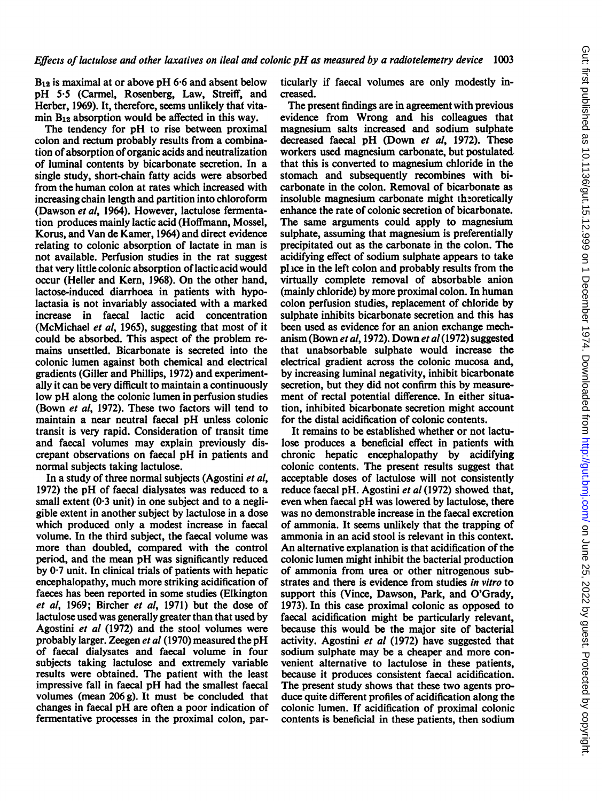$B_{12}$  is maximal at or above pH 6.6 and absent below pH 5.5 (Carmel, Rosenberg, Law, Streiff, and Herber, 1969). It, therefore, seems unlikely that vitamin  $B_{12}$  absorption would be affected in this way.

The tendency for pH to rise between proximal colon and rectum probably results from a combination of absorption of organic acids and neutralization of luminal contents by bicarbonate secretion. In a single study, short-chain fatty acids were absorbed from the human colon at rates which increased with increasing chain length and partition into chloroform (Dawson et al, 1964). However, lactulose fermentation produces mainly lactic acid (Hoffmann, Mossel, Korus, and Van de Kamer, 1964) and direct evidence relating to colonic absorption of lactate in man is not available. Perfusion studies in the rat suggest that very little colonic absorption of lactic acid would occur (Heller and Kern, 1968). On the other hand, lactose-induced diarrhoea in patients with hypolactasia is not invariably associated with a marked increase in faecal lactic acid concentration (McMichael et al, 1965), suggesting that most of it could be absorbed. This aspect of the problem remains unsettled. Bicarbonate is secreted into the colonic lumen against both chemical and electrical gradients (Giller and Phillips, 1972) and experimentally it can be very difficult to maintain a continuously low pH along the colonic lumen in perfusion studies (Bown et al, 1972). These two factors will tend to maintain a near neutral faecal pH unless colonic transit is very rapid. Consideration of transit time and faecal volumes may explain previously discrepant observations on faecal pH in patients and normal subjects taking lactulose.

In a study of three normal subjects (Agostini et al, 1972) the pH of faecal dialysates was reduced to a small extent  $(0.3 \text{ unit})$  in one subject and to a negligible extent in another subject by lactulose in a dose which produced only a modest increase in faecal volume. In the third subject, the faecal volume was more than doubled, compared with the control period, and the mean pH was significantly reduced by 0.7 unit. In clinical trials of patients with hepatic encephalopathy, much more striking acidification of faeces has been reported in some studies (Elkington et al, 1969; Bircher et al, 1971) but the dose of lactulose used was generally greater than that used by Agostini et al (1972) and the stool volumes were probably larger. Zeegen et al (1970) measured the pH of faecal dialysates and faecal volume in four subjects taking lactulose and extremely variable results were obtained. The patient with the least impressive fall in faecal pH had the smallest faecal volumes (mean 206 g). It must be concluded that changes in faecal pH are often a poor indication of fermentative processes in the proximal colon, particularly if faecal volumes are only modestly increased.

The present findings are in agreement with previous evidence from Wrong and his colleagues that magnesium salts increased and sodium sulphate decreased faecal pH (Down et al, 1972). These workers used magnesium carbonate, but postulated that this is converted to magnesium chloride in the stomach and subsequently recombines with bicarbonate in the colon. Removal of bicarbonate as insoluble magnesium carbonate might theoretically enhance the rate of colonic secretion of bicarbonate. The same arguments could apply to magnesium sulphate, assuming that magnesium is preferentially precipitated out as the carbonate in the colon. The acidifying effect of sodium sulphate appears to take pluce in the left colon and probably results from the virtually complete removal of absorbable anion (mainly chloride) by more proximal colon. In human colon perfusion studies, replacement of chloride by sulphate inhibits bicarbonate secretion and this has been used as evidence for an anion exchange mechanism (Bown et al, 1972). Down et al (1972) suggested that unabsorbable sulphate would increase the electrical gradient across the colonic mucosa and, by increasing luminal negativity, inhibit bicarbonate secretion, but they did not confirm this by measurement of rectal potential difference. In either situation, inhibited bicarbonate secretion might account for the distal acidification of colonic contents.

It remains to be established whether or not lactulose produces a beneficial effect in patients with chronic hepatic encephalopathy by acidifying colonic contents. The present results suggest that acceptable doses of lactulose will not consistently reduce faecal pH. Agostini et al (1972) showed that, even when faecal pH was lowered by lactulose, there was no demonstrable increase in the faecal excretion of ammonia. It seems unlikely that the trapping of ammonia in an acid stool is relevant in this context. An alternative explanation is that acidification of the colonic lumen might inhibit the bacterial production of ammonia from urea or other nitrogenous substrates and there is evidence from studies in vitro to support this (Vince, Dawson, Park, and O'Grady, 1973). In this case proximal colonic as opposed to faecal acidification might be particularly relevant, because this would be the major site of bacterial activity. Agostini et al (1972) have suggested that sodium sulphate may be a cheaper and more convenient alternative to lactulose in these patients, because it produces consistent faecal acidification. The present study shows that these two agents produce quite different profiles of acidification along the colonic lumen. If acidification of proximal colonic contents is beneficial in these patients, then sodium